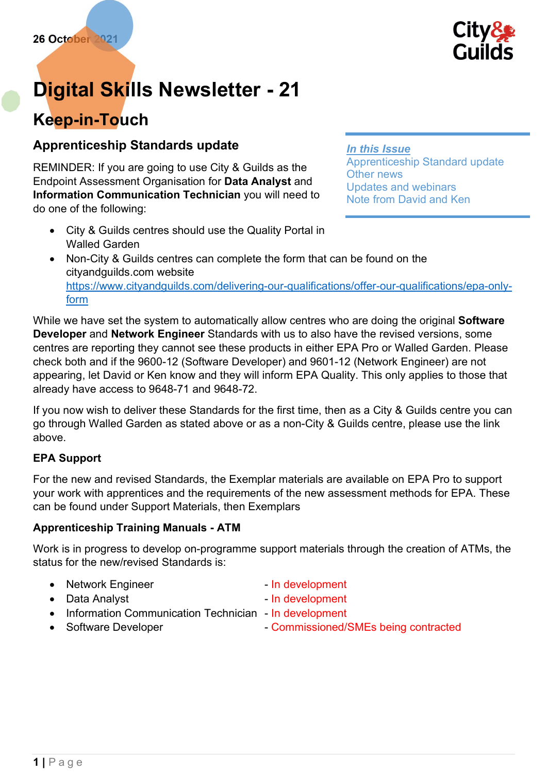

# Digital Skills Newsletter - 21

# Keep-in-Touch

### Apprenticeship Standards update

REMINDER: If you are going to use City & Guilds as the Endpoint Assessment Organisation for Data Analyst and Information Communication Technician you will need to do one of the following:

#### In this Issue

Apprenticeship Standard update Other news Updates and webinars Note from David and Ken

- City & Guilds centres should use the Quality Portal in Walled Garden
- Non-City & Guilds centres can complete the form that can be found on the cityandguilds.com website https://www.cityandguilds.com/delivering-our-qualifications/offer-our-qualifications/epa-onlyform

While we have set the system to automatically allow centres who are doing the original Software Developer and Network Engineer Standards with us to also have the revised versions, some centres are reporting they cannot see these products in either EPA Pro or Walled Garden. Please check both and if the 9600-12 (Software Developer) and 9601-12 (Network Engineer) are not appearing, let David or Ken know and they will inform EPA Quality. This only applies to those that already have access to 9648-71 and 9648-72.

If you now wish to deliver these Standards for the first time, then as a City & Guilds centre you can go through Walled Garden as stated above or as a non-City & Guilds centre, please use the link above.

#### EPA Support

For the new and revised Standards, the Exemplar materials are available on EPA Pro to support your work with apprentices and the requirements of the new assessment methods for EPA. These can be found under Support Materials, then Exemplars

#### Apprenticeship Training Manuals - ATM

Work is in progress to develop on-programme support materials through the creation of ATMs, the status for the new/revised Standards is:

- Network Engineer In development
- Data Analyst  **In development**
- -
- Information Communication Technician In development
- 
- Software Developer Commissioned/SMEs being contracted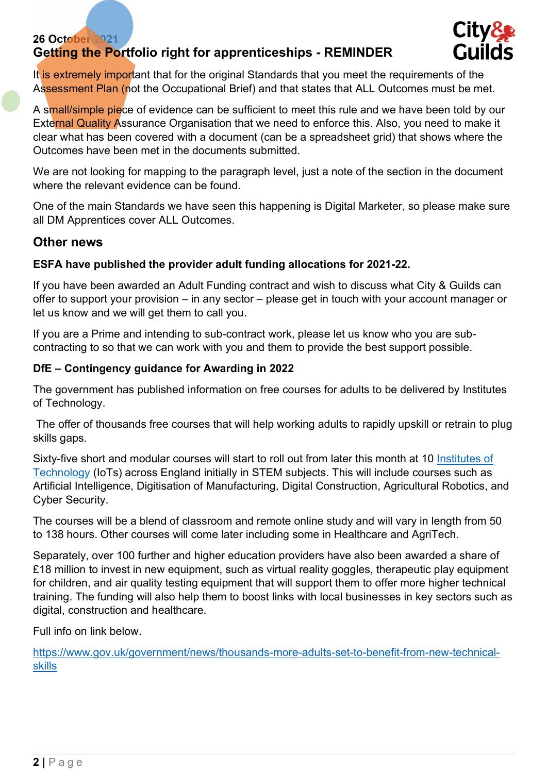#### 26 October 2021 Getting the Portfolio right for apprenticeships - REMINDER



It is extremely important that for the original Standards that you meet the requirements of the Assessment Plan (not the Occupational Brief) and that states that ALL Outcomes must be met.

A small/simple piece of evidence can be sufficient to meet this rule and we have been told by our External Quality Assurance Organisation that we need to enforce this. Also, you need to make it clear what has been covered with a document (can be a spreadsheet grid) that shows where the Outcomes have been met in the documents submitted.

We are not looking for mapping to the paragraph level, just a note of the section in the document where the relevant evidence can be found.

One of the main Standards we have seen this happening is Digital Marketer, so please make sure all DM Apprentices cover ALL Outcomes.

#### Other news

#### ESFA have published the provider adult funding allocations for 2021-22.

If you have been awarded an Adult Funding contract and wish to discuss what City & Guilds can offer to support your provision – in any sector – please get in touch with your account manager or let us know and we will get them to call you.

If you are a Prime and intending to sub-contract work, please let us know who you are subcontracting to so that we can work with you and them to provide the best support possible.

#### DfE – Contingency guidance for Awarding in 2022

The government has published information on free courses for adults to be delivered by Institutes of Technology.

 The offer of thousands free courses that will help working adults to rapidly upskill or retrain to plug skills gaps.

Sixty-five short and modular courses will start to roll out from later this month at 10 Institutes of Technology (IoTs) across England initially in STEM subjects. This will include courses such as Artificial Intelligence, Digitisation of Manufacturing, Digital Construction, Agricultural Robotics, and Cyber Security.

The courses will be a blend of classroom and remote online study and will vary in length from 50 to 138 hours. Other courses will come later including some in Healthcare and AgriTech.

Separately, over 100 further and higher education providers have also been awarded a share of £18 million to invest in new equipment, such as virtual reality goggles, therapeutic play equipment for children, and air quality testing equipment that will support them to offer more higher technical training. The funding will also help them to boost links with local businesses in key sectors such as digital, construction and healthcare.

Full info on link below.

https://www.gov.uk/government/news/thousands-more-adults-set-to-benefit-from-new-technicalskills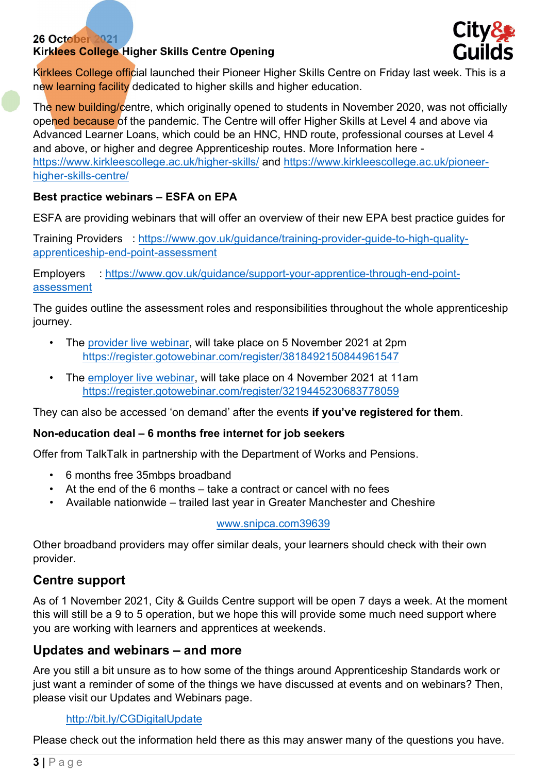#### 26 October 2021 Kirklees College Higher Skills Centre Opening



Kirklees College official launched their Pioneer Higher Skills Centre on Friday last week. This is a new learning facility dedicated to higher skills and higher education.

The new building/centre, which originally opened to students in November 2020, was not officially opened because of the pandemic. The Centre will offer Higher Skills at Level 4 and above via Advanced Learner Loans, which could be an HNC, HND route, professional courses at Level 4 and above, or higher and degree Apprenticeship routes. More Information here https://www.kirkleescollege.ac.uk/higher-skills/ and https://www.kirkleescollege.ac.uk/pioneerhigher-skills-centre/

#### Best practice webinars – ESFA on EPA

ESFA are providing webinars that will offer an overview of their new EPA best practice guides for

Training Providers : https://www.gov.uk/guidance/training-provider-guide-to-high-qualityapprenticeship-end-point-assessment

Employers : https://www.gov.uk/guidance/support-your-apprentice-through-end-pointassessment

The guides outline the assessment roles and responsibilities throughout the whole apprenticeship journey.

- The provider live webinar, will take place on 5 November 2021 at 2pm https://register.gotowebinar.com/register/3818492150844961547
- The employer live webinar, will take place on 4 November 2021 at 11am https://register.gotowebinar.com/register/3219445230683778059

They can also be accessed 'on demand' after the events if you've registered for them.

#### Non-education deal – 6 months free internet for job seekers

Offer from TalkTalk in partnership with the Department of Works and Pensions.

- 6 months free 35mbps broadband
- At the end of the 6 months take a contract or cancel with no fees
- Available nationwide trailed last year in Greater Manchester and Cheshire

www.snipca.com39639

Other broadband providers may offer similar deals, your learners should check with their own provider.

## Centre support

As of 1 November 2021, City & Guilds Centre support will be open 7 days a week. At the moment this will still be a 9 to 5 operation, but we hope this will provide some much need support where you are working with learners and apprentices at weekends.

#### Updates and webinars – and more

Are you still a bit unsure as to how some of the things around Apprenticeship Standards work or just want a reminder of some of the things we have discussed at events and on webinars? Then, please visit our Updates and Webinars page.

#### http://bit.ly/CGDigitalUpdate

Please check out the information held there as this may answer many of the questions you have.